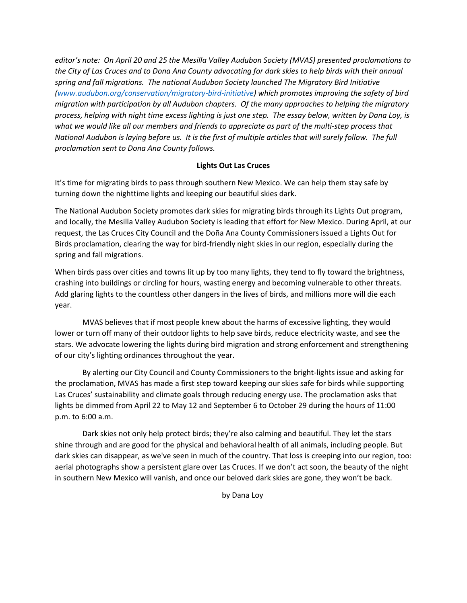*editor's note: On April 20 and 25 the Mesilla Valley Audubon Society (MVAS) presented proclamations to the City of Las Cruces and to Dona Ana County advocating for dark skies to help birds with their annual spring and fall migrations. The national Audubon Society launched The Migratory Bird Initiative [\(www.audubon.org/conservation/migratory-bird-initiative\)](http://www.audubon.org/conservation/migratory-bird-initiative) which promotes improving the safety of bird migration with participation by all Audubon chapters. Of the many approaches to helping the migratory process, helping with night time excess lighting is just one step. The essay below, written by Dana Loy, is what we would like all our members and friends to appreciate as part of the multi-step process that National Audubon is laying before us. It is the first of multiple articles that will surely follow. The full proclamation sent to Dona Ana County follows.* 

## **Lights Out Las Cruces**

It's time for migrating birds to pass through southern New Mexico. We can help them stay safe by turning down the nighttime lights and keeping our beautiful skies dark.

The National Audubon Society promotes dark skies for migrating birds through its Lights Out program, and locally, the Mesilla Valley Audubon Society is leading that effort for New Mexico. During April, at our request, the Las Cruces City Council and the Doña Ana County Commissioners issued a Lights Out for Birds proclamation, clearing the way for bird-friendly night skies in our region, especially during the spring and fall migrations.

When birds pass over cities and towns lit up by too many lights, they tend to fly toward the brightness, crashing into buildings or circling for hours, wasting energy and becoming vulnerable to other threats. Add glaring lights to the countless other dangers in the lives of birds, and millions more will die each year.

MVAS believes that if most people knew about the harms of excessive lighting, they would lower or turn off many of their outdoor lights to help save birds, reduce electricity waste, and see the stars. We advocate lowering the lights during bird migration and strong enforcement and strengthening of our city's lighting ordinances throughout the year.

By alerting our City Council and County Commissioners to the bright-lights issue and asking for the proclamation, MVAS has made a first step toward keeping our skies safe for birds while supporting Las Cruces' sustainability and climate goals through reducing energy use. The proclamation asks that lights be dimmed from April 22 to May 12 and September 6 to October 29 during the hours of 11:00 p.m. to 6:00 a.m.

Dark skies not only help protect birds; they're also calming and beautiful. They let the stars shine through and are good for the physical and behavioral health of all animals, including people. But dark skies can disappear, as we've seen in much of the country. That loss is creeping into our region, too: aerial photographs show a persistent glare over Las Cruces. If we don't act soon, the beauty of the night in southern New Mexico will vanish, and once our beloved dark skies are gone, they won't be back.

by Dana Loy